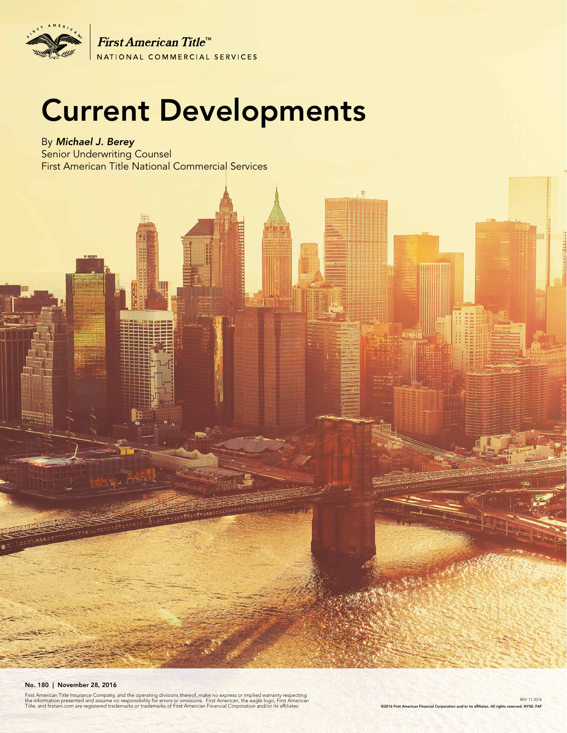

First American Title<sup>tt</sup> NATIONAL COMMERCIAL SERVICES

# Current Developments

By *Michael J. Berey*  Senior Underwriting Counsel First American Title National Commercial Services

#### No. 180 | November 28, 2016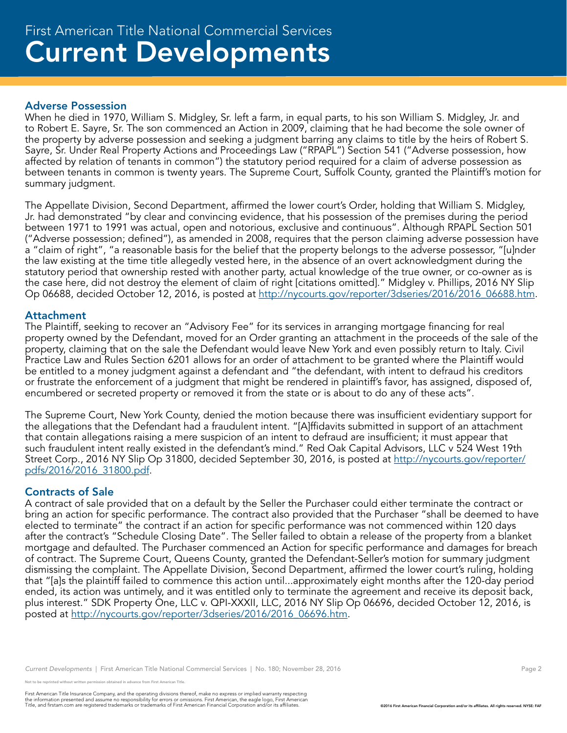### Current Developments First American Title National Commercial Services

#### Adverse Possession

When he died in 1970, William S. Midgley, Sr. left a farm, in equal parts, to his son William S. Midgley, Jr. and to Robert E. Sayre, Sr. The son commenced an Action in 2009, claiming that he had become the sole owner of the property by adverse possession and seeking a judgment barring any claims to title by the heirs of Robert S. Sayre, Sr. Under Real Property Actions and Proceedings Law ("RPAPL") Section 541 ("Adverse possession, how affected by relation of tenants in common") the statutory period required for a claim of adverse possession as between tenants in common is twenty years. The Supreme Court, Suffolk County, granted the Plaintiff's motion for summary judgment.

The Appellate Division, Second Department, affirmed the lower court's Order, holding that William S. Midgley, Jr. had demonstrated "by clear and convincing evidence, that his possession of the premises during the period between 1971 to 1991 was actual, open and notorious, exclusive and continuous". Although RPAPL Section 501 ("Adverse possession; defined"), as amended in 2008, requires that the person claiming adverse possession have a "claim of right", "a reasonable basis for the belief that the property belongs to the adverse possessor, "[u]nder the law existing at the time title allegedly vested here, in the absence of an overt acknowledgment during the statutory period that ownership rested with another party, actual knowledge of the true owner, or co-owner as is the case here, did not destroy the element of claim of right [citations omitted]." Midgley v. Phillips, 2016 NY Slip Op 06688, decided October 12, 2016, is posted at http://nycourts.gov/reporter/3dseries/2016/2016\_06688.htm.

#### Attachment

The Plaintiff, seeking to recover an "Advisory Fee" for its services in arranging mortgage financing for real property owned by the Defendant, moved for an Order granting an attachment in the proceeds of the sale of the property, claiming that on the sale the Defendant would leave New York and even possibly return to Italy. Civil Practice Law and Rules Section 6201 allows for an order of attachment to be granted where the Plaintiff would be entitled to a money judgment against a defendant and "the defendant, with intent to defraud his creditors or frustrate the enforcement of a judgment that might be rendered in plaintiff's favor, has assigned, disposed of, encumbered or secreted property or removed it from the state or is about to do any of these acts".

The Supreme Court, New York County, denied the motion because there was insufficient evidentiary support for the allegations that the Defendant had a fraudulent intent. "[A]ffidavits submitted in support of an attachment that contain allegations raising a mere suspicion of an intent to defraud are insufficient; it must appear that such fraudulent intent really existed in the defendant's mind." Red Oak Capital Advisors, LLC v 524 West 19th Street Corp., 2016 NY Slip Op 31800, decided September 30, 2016, is posted at http://nycourts.gov/reporter/ pdfs/2016/2016\_31800.pdf.

#### Contracts of Sale

A contract of sale provided that on a default by the Seller the Purchaser could either terminate the contract or bring an action for specific performance. The contract also provided that the Purchaser "shall be deemed to have elected to terminate" the contract if an action for specific performance was not commenced within 120 days after the contract's "Schedule Closing Date". The Seller failed to obtain a release of the property from a blanket mortgage and defaulted. The Purchaser commenced an Action for specific performance and damages for breach of contract. The Supreme Court, Queens County, granted the Defendant-Seller's motion for summary judgment dismissing the complaint. The Appellate Division, Second Department, affirmed the lower court's ruling, holding that "[a]s the plaintiff failed to commence this action until...approximately eight months after the 120-day period ended, its action was untimely, and it was entitled only to terminate the agreement and receive its deposit back, plus interest." SDK Property One, LLC v. QPI-XXXII, LLC, 2016 NY Slip Op 06696, decided October 12, 2016, is posted at http://nycourts.gov/reporter/3dseries/2016/2016\_06696.htm.

*Current Developments* | First American Title National Commercial Services | No. 180; November 28, 2016 Page 2 Page 2

not to be reprinted without written permission obtained in advance from First American Title.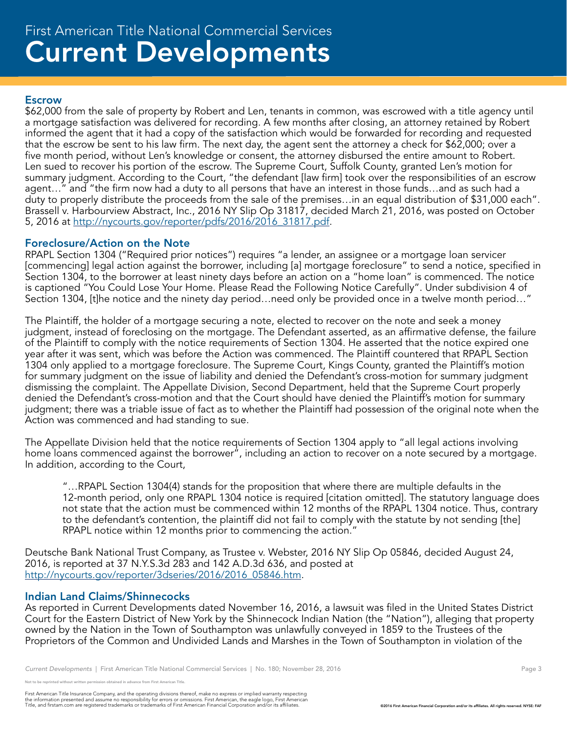## Current Developments First American Title National Commercial Services

#### Escrow

\$62,000 from the sale of property by Robert and Len, tenants in common, was escrowed with a title agency until a mortgage satisfaction was delivered for recording. A few months after closing, an attorney retained by Robert informed the agent that it had a copy of the satisfaction which would be forwarded for recording and requested that the escrow be sent to his law firm. The next day, the agent sent the attorney a check for \$62,000; over a five month period, without Len's knowledge or consent, the attorney disbursed the entire amount to Robert. Len sued to recover his portion of the escrow. The Supreme Court, Suffolk County, granted Len's motion for summary judgment. According to the Court, "the defendant [law firm] took over the responsibilities of an escrow agent…" and "the firm now had a duty to all persons that have an interest in those funds…and as such had a duty to properly distribute the proceeds from the sale of the premises…in an equal distribution of \$31,000 each". Brassell v. Harbourview Abstract, Inc., 2016 NY Slip Op 31817, decided March 21, 2016, was posted on October 5, 2016 at http://nycourts.gov/reporter/pdfs/2016/2016\_31817.pdf.

#### Foreclosure/Action on the Note

RPAPL Section 1304 ("Required prior notices") requires "a lender, an assignee or a mortgage loan servicer [commencing] legal action against the borrower, including [a] mortgage foreclosure" to send a notice, specified in Section 1304, to the borrower at least ninety days before an action on a "home loan" is commenced. The notice is captioned "You Could Lose Your Home. Please Read the Following Notice Carefully". Under subdivision 4 of Section 1304, [t]he notice and the ninety day period…need only be provided once in a twelve month period…"

The Plaintiff, the holder of a mortgage securing a note, elected to recover on the note and seek a money judgment, instead of foreclosing on the mortgage. The Defendant asserted, as an affirmative defense, the failure of the Plaintiff to comply with the notice requirements of Section 1304. He asserted that the notice expired one year after it was sent, which was before the Action was commenced. The Plaintiff countered that RPAPL Section 1304 only applied to a mortgage foreclosure. The Supreme Court, Kings County, granted the Plaintiff's motion for summary judgment on the issue of liability and denied the Defendant's cross-motion for summary judgment dismissing the complaint. The Appellate Division, Second Department, held that the Supreme Court properly denied the Defendant's cross-motion and that the Court should have denied the Plaintiff's motion for summary judgment; there was a triable issue of fact as to whether the Plaintiff had possession of the original note when the Action was commenced and had standing to sue.

The Appellate Division held that the notice requirements of Section 1304 apply to "all legal actions involving home loans commenced against the borrower", including an action to recover on a note secured by a mortgage. In addition, according to the Court,

"…RPAPL Section 1304(4) stands for the proposition that where there are multiple defaults in the 12-month period, only one RPAPL 1304 notice is required [citation omitted]. The statutory language does not state that the action must be commenced within 12 months of the RPAPL 1304 notice. Thus, contrary to the defendant's contention, the plaintiff did not fail to comply with the statute by not sending [the] RPAPL notice within 12 months prior to commencing the action."

Deutsche Bank National Trust Company, as Trustee v. Webster, 2016 NY Slip Op 05846, decided August 24, 2016, is reported at 37 N.Y.S.3d 283 and 142 A.D.3d 636, and posted at http://nycourts.gov/reporter/3dseries/2016/2016\_05846.htm.

#### Indian Land Claims/Shinnecocks

As reported in Current Developments dated November 16, 2016, a lawsuit was filed in the United States District Court for the Eastern District of New York by the Shinnecock Indian Nation (the "Nation"), alleging that property owned by the Nation in the Town of Southampton was unlawfully conveyed in 1859 to the Trustees of the Proprietors of the Common and Undivided Lands and Marshes in the Town of Southampton in violation of the

reprinted without written permission obtained in advance from First American Title.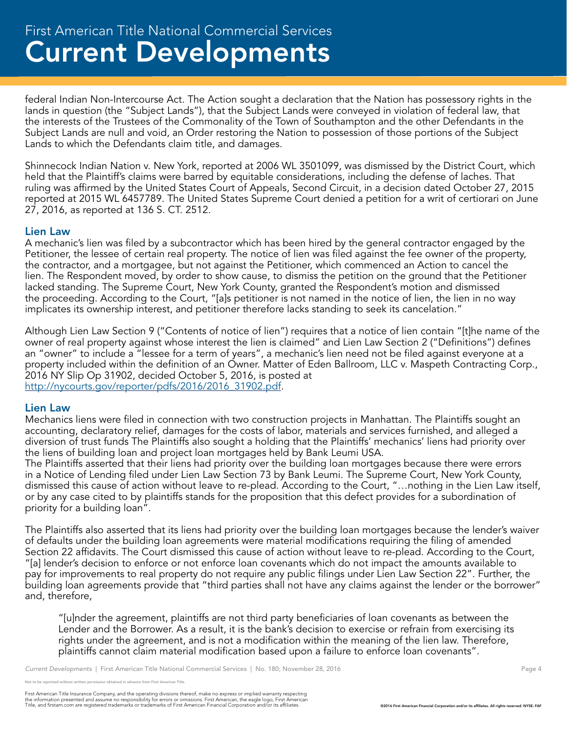federal Indian Non-Intercourse Act. The Action sought a declaration that the Nation has possessory rights in the lands in question (the "Subject Lands"), that the Subject Lands were conveyed in violation of federal law, that the interests of the Trustees of the Commonality of the Town of Southampton and the other Defendants in the Subject Lands are null and void, an Order restoring the Nation to possession of those portions of the Subject Lands to which the Defendants claim title, and damages.

Shinnecock Indian Nation v. New York, reported at 2006 WL 3501099, was dismissed by the District Court, which held that the Plaintiff's claims were barred by equitable considerations, including the defense of laches. That ruling was affirmed by the United States Court of Appeals, Second Circuit, in a decision dated October 27, 2015 reported at 2015 WL 6457789. The United States Supreme Court denied a petition for a writ of certiorari on June 27, 2016, as reported at 136 S. CT. 2512.

#### Lien Law

A mechanic's lien was filed by a subcontractor which has been hired by the general contractor engaged by the Petitioner, the lessee of certain real property. The notice of lien was filed against the fee owner of the property, the contractor, and a mortgagee, but not against the Petitioner, which commenced an Action to cancel the lien. The Respondent moved, by order to show cause, to dismiss the petition on the ground that the Petitioner lacked standing. The Supreme Court, New York County, granted the Respondent's motion and dismissed the proceeding. According to the Court, "[a]s petitioner is not named in the notice of lien, the lien in no way implicates its ownership interest, and petitioner therefore lacks standing to seek its cancelation."

Although Lien Law Section 9 ("Contents of notice of lien") requires that a notice of lien contain "[t]he name of the owner of real property against whose interest the lien is claimed" and Lien Law Section 2 ("Definitions") defines an "owner" to include a "lessee for a term of years", a mechanic's lien need not be filed against everyone at a property included within the definition of an Owner. Matter of Eden Ballroom, LLC v. Maspeth Contracting Corp., 2016 NY Slip Op 31902, decided October 5, 2016, is posted at http://nycourts.gov/reporter/pdfs/2016/2016\_31902.pdf.

#### Lien Law

Mechanics liens were filed in connection with two construction projects in Manhattan. The Plaintiffs sought an accounting, declaratory relief, damages for the costs of labor, materials and services furnished, and alleged a diversion of trust funds The Plaintiffs also sought a holding that the Plaintiffs' mechanics' liens had priority over the liens of building loan and project loan mortgages held by Bank Leumi USA.

The Plaintiffs asserted that their liens had priority over the building loan mortgages because there were errors in a Notice of Lending filed under Lien Law Section 73 by Bank Leumi. The Supreme Court, New York County, dismissed this cause of action without leave to re-plead. According to the Court, "…nothing in the Lien Law itself, or by any case cited to by plaintiffs stands for the proposition that this defect provides for a subordination of priority for a building loan".

The Plaintiffs also asserted that its liens had priority over the building loan mortgages because the lender's waiver of defaults under the building loan agreements were material modifications requiring the filing of amended Section 22 affidavits. The Court dismissed this cause of action without leave to re-plead. According to the Court, "[a] lender's decision to enforce or not enforce loan covenants which do not impact the amounts available to pay for improvements to real property do not require any public filings under Lien Law Section 22". Further, the building loan agreements provide that "third parties shall not have any claims against the lender or the borrower" and, therefore,

"[u]nder the agreement, plaintiffs are not third party beneficiaries of loan covenants as between the Lender and the Borrower. As a result, it is the bank's decision to exercise or refrain from exercising its rights under the agreement, and is not a modification within the meaning of the lien law. Therefore, plaintiffs cannot claim material modification based upon a failure to enforce loan covenants".

*Current Developments* | First American Title National Commercial Services | No. 180; November 28, 2016 **Page 4** Page 4

e reprinted without written permission obtained in advance from First American Title.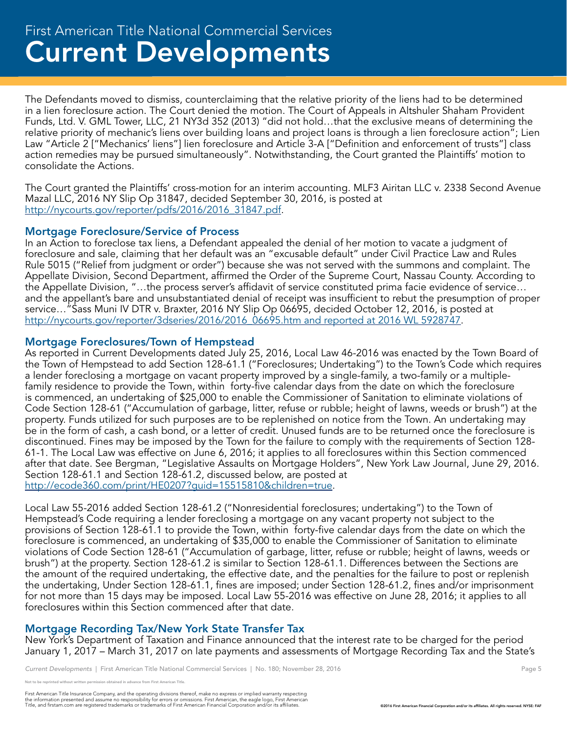The Defendants moved to dismiss, counterclaiming that the relative priority of the liens had to be determined in a lien foreclosure action. The Court denied the motion. The Court of Appeals in Altshuler Shaham Provident Funds, Ltd. V. GML Tower, LLC, 21 NY3d 352 (2013) "did not hold…that the exclusive means of determining the relative priority of mechanic's liens over building loans and project loans is through a lien foreclosure action"; Lien Law "Article 2 ["Mechanics' liens"] lien foreclosure and Article 3-A ["Definition and enforcement of trusts"] class action remedies may be pursued simultaneously". Notwithstanding, the Court granted the Plaintiffs' motion to consolidate the Actions.

The Court granted the Plaintiffs' cross-motion for an interim accounting. MLF3 Airitan LLC v. 2338 Second Avenue Mazal LLC, 2016 NY Slip Op 31847, decided September 30, 2016, is posted at http://nycourts.gov/reporter/pdfs/2016/2016\_31847.pdf.

#### Mortgage Foreclosure/Service of Process

In an Action to foreclose tax liens, a Defendant appealed the denial of her motion to vacate a judgment of foreclosure and sale, claiming that her default was an "excusable default" under Civil Practice Law and Rules Rule 5015 ("Relief from judgment or order") because she was not served with the summons and complaint. The Appellate Division, Second Department, affirmed the Order of the Supreme Court, Nassau County. According to the Appellate Division, "…the process server's affidavit of service constituted prima facie evidence of service… and the appellant's bare and unsubstantiated denial of receipt was insufficient to rebut the presumption of proper service…"Sass Muni IV DTR v. Braxter, 2016 NY Slip Op 06695, decided October 12, 2016, is posted at http://nycourts.gov/reporter/3dseries/2016/2016\_06695.htm and reported at 2016 WL 5928747.

#### Mortgage Foreclosures/Town of Hempstead

As reported in Current Developments dated July 25, 2016, Local Law 46-2016 was enacted by the Town Board of the Town of Hempstead to add Section 128-61.1 ("Foreclosures; Undertaking") to the Town's Code which requires a lender foreclosing a mortgage on vacant property improved by a single-family, a two-family or a multiplefamily residence to provide the Town, within forty-five calendar days from the date on which the foreclosure is commenced, an undertaking of \$25,000 to enable the Commissioner of Sanitation to eliminate violations of Code Section 128-61 ("Accumulation of garbage, litter, refuse or rubble; height of lawns, weeds or brush") at the property. Funds utilized for such purposes are to be replenished on notice from the Town. An undertaking may be in the form of cash, a cash bond, or a letter of credit. Unused funds are to be returned once the foreclosure is discontinued. Fines may be imposed by the Town for the failure to comply with the requirements of Section 128- 61-1. The Local Law was effective on June 6, 2016; it applies to all foreclosures within this Section commenced after that date. See Bergman, "Legislative Assaults on Mortgage Holders", New York Law Journal, June 29, 2016. Section 128-61.1 and Section 128-61.2, discussed below, are posted at http://ecode360.com/print/HE0207?guid=15515810&children=true.

Local Law 55-2016 added Section 128-61.2 ("Nonresidential foreclosures; undertaking") to the Town of Hempstead's Code requiring a lender foreclosing a mortgage on any vacant property not subject to the provisions of Section 128-61.1 to provide the Town, within forty-five calendar days from the date on which the foreclosure is commenced, an undertaking of \$35,000 to enable the Commissioner of Sanitation to eliminate violations of Code Section 128-61 ("Accumulation of garbage, litter, refuse or rubble; height of lawns, weeds or brush") at the property. Section 128-61.2 is similar to Section 128-61.1. Differences between the Sections are the amount of the required undertaking, the effective date, and the penalties for the failure to post or replenish the undertaking, Under Section 128-61.1, fines are imposed; under Section 128-61.2, fines and/or imprisonment for not more than 15 days may be imposed. Local Law 55-2016 was effective on June 28, 2016; it applies to all foreclosures within this Section commenced after that date.

#### Mortgage Recording Tax/New York State Transfer Tax

New York's Department of Taxation and Finance announced that the interest rate to be charged for the period January 1, 2017 – March 31, 2017 on late payments and assessments of Mortgage Recording Tax and the State's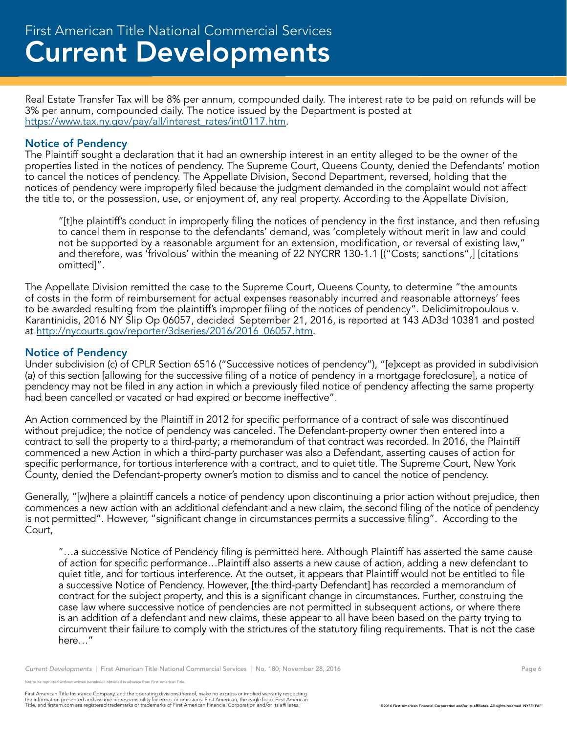Real Estate Transfer Tax will be 8% per annum, compounded daily. The interest rate to be paid on refunds will be 3% per annum, compounded daily. The notice issued by the Department is posted at https://www.tax.ny.gov/pay/all/interest\_rates/int0117.htm.

#### Notice of Pendency

The Plaintiff sought a declaration that it had an ownership interest in an entity alleged to be the owner of the properties listed in the notices of pendency. The Supreme Court, Queens County, denied the Defendants' motion to cancel the notices of pendency. The Appellate Division, Second Department, reversed, holding that the notices of pendency were improperly filed because the judgment demanded in the complaint would not affect the title to, or the possession, use, or enjoyment of, any real property. According to the Appellate Division,

"[t]he plaintiff's conduct in improperly filing the notices of pendency in the first instance, and then refusing to cancel them in response to the defendants' demand, was 'completely without merit in law and could not be supported by a reasonable argument for an extension, modification, or reversal of existing law," and therefore, was 'frivolous' within the meaning of 22 NYCRR 130-1.1 [("Costs; sanctions",] [citations omitted]".

The Appellate Division remitted the case to the Supreme Court, Queens County, to determine "the amounts of costs in the form of reimbursement for actual expenses reasonably incurred and reasonable attorneys' fees to be awarded resulting from the plaintiff's improper filing of the notices of pendency". Delidimitropoulous v. Karantinidis, 2016 NY Slip Op 06057, decided September 21, 2016, is reported at 143 AD3d 10381 and posted at http://nycourts.gov/reporter/3dseries/2016/2016\_06057.htm.

#### Notice of Pendency

Under subdivision (c) of CPLR Section 6516 ("Successive notices of pendency"), "[e]xcept as provided in subdivision (a) of this section [allowing for the successive filing of a notice of pendency in a mortgage foreclosure], a notice of pendency may not be filed in any action in which a previously filed notice of pendency affecting the same property had been cancelled or vacated or had expired or become ineffective".

An Action commenced by the Plaintiff in 2012 for specific performance of a contract of sale was discontinued without prejudice; the notice of pendency was canceled. The Defendant-property owner then entered into a contract to sell the property to a third-party; a memorandum of that contract was recorded. In 2016, the Plaintiff commenced a new Action in which a third-party purchaser was also a Defendant, asserting causes of action for specific performance, for tortious interference with a contract, and to quiet title. The Supreme Court, New York County, denied the Defendant-property owner's motion to dismiss and to cancel the notice of pendency.

Generally, "[w]here a plaintiff cancels a notice of pendency upon discontinuing a prior action without prejudice, then commences a new action with an additional defendant and a new claim, the second filing of the notice of pendency is not permitted". However, "significant change in circumstances permits a successive filing". According to the Court,

"…a successive Notice of Pendency filing is permitted here. Although Plaintiff has asserted the same cause of action for specific performance…Plaintiff also asserts a new cause of action, adding a new defendant to quiet title, and for tortious interference. At the outset, it appears that Plaintiff would not be entitled to file a successive Notice of Pendency. However, [the third-party Defendant] has recorded a memorandum of contract for the subject property, and this is a significant change in circumstances. Further, construing the case law where successive notice of pendencies are not permitted in subsequent actions, or where there is an addition of a defendant and new claims, these appear to all have been based on the party trying to circumvent their failure to comply with the strictures of the statutory filing requirements. That is not the case here…"

*Current Developments* | First American Title National Commercial Services | No. 180; November 28, 2016 Page 6 Page 6

e reprinted without written permission obtained in advance from First American Title.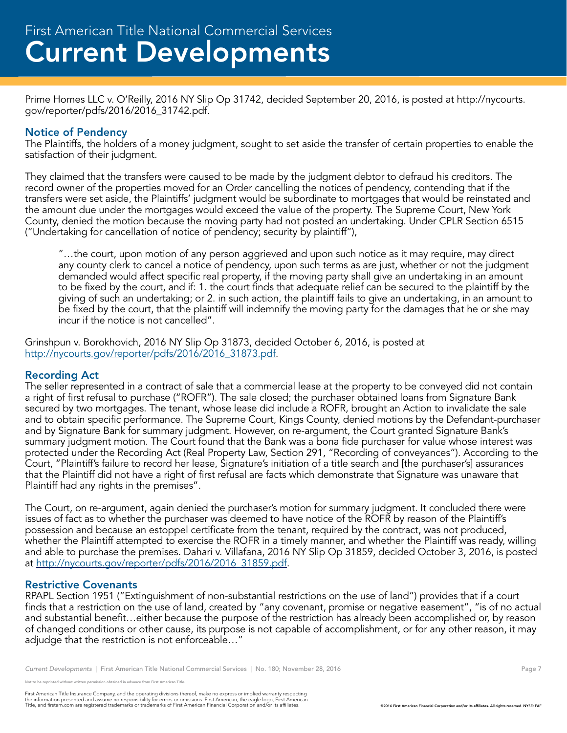Prime Homes LLC v. O'Reilly, 2016 NY Slip Op 31742, decided September 20, 2016, is posted at http://nycourts. gov/reporter/pdfs/2016/2016\_31742.pdf.

### Notice of Pendency

The Plaintiffs, the holders of a money judgment, sought to set aside the transfer of certain properties to enable the satisfaction of their judgment.

They claimed that the transfers were caused to be made by the judgment debtor to defraud his creditors. The record owner of the properties moved for an Order cancelling the notices of pendency, contending that if the transfers were set aside, the Plaintiffs' judgment would be subordinate to mortgages that would be reinstated and the amount due under the mortgages would exceed the value of the property. The Supreme Court, New York County, denied the motion because the moving party had not posted an undertaking. Under CPLR Section 6515 ("Undertaking for cancellation of notice of pendency; security by plaintiff"),

"…the court, upon motion of any person aggrieved and upon such notice as it may require, may direct any county clerk to cancel a notice of pendency, upon such terms as are just, whether or not the judgment demanded would affect specific real property, if the moving party shall give an undertaking in an amount to be fixed by the court, and if: 1. the court finds that adequate relief can be secured to the plaintiff by the giving of such an undertaking; or 2. in such action, the plaintiff fails to give an undertaking, in an amount to be fixed by the court, that the plaintiff will indemnify the moving party for the damages that he or she may incur if the notice is not cancelled".

Grinshpun v. Borokhovich, 2016 NY Slip Op 31873, decided October 6, 2016, is posted at http://nycourts.gov/reporter/pdfs/2016/2016\_31873.pdf.

#### Recording Act

The seller represented in a contract of sale that a commercial lease at the property to be conveyed did not contain a right of first refusal to purchase ("ROFR"). The sale closed; the purchaser obtained loans from Signature Bank secured by two mortgages. The tenant, whose lease did include a ROFR, brought an Action to invalidate the sale and to obtain specific performance. The Supreme Court, Kings County, denied motions by the Defendant-purchaser and by Signature Bank for summary judgment. However, on re-argument, the Court granted Signature Bank's summary judgment motion. The Court found that the Bank was a bona fide purchaser for value whose interest was protected under the Recording Act (Real Property Law, Section 291, "Recording of conveyances"). According to the Court, "Plaintiff's failure to record her lease, Signature's initiation of a title search and [the purchaser's] assurances that the Plaintiff did not have a right of first refusal are facts which demonstrate that Signature was unaware that Plaintiff had any rights in the premises".

The Court, on re-argument, again denied the purchaser's motion for summary judgment. It concluded there were issues of fact as to whether the purchaser was deemed to have notice of the ROFR by reason of the Plaintiff's possession and because an estoppel certificate from the tenant, required by the contract, was not produced, whether the Plaintiff attempted to exercise the ROFR in a timely manner, and whether the Plaintiff was ready, willing and able to purchase the premises. Dahari v. Villafana, 2016 NY Slip Op 31859, decided October 3, 2016, is posted at http://nycourts.gov/reporter/pdfs/2016/2016\_31859.pdf.

#### Restrictive Covenants

RPAPL Section 1951 ("Extinguishment of non-substantial restrictions on the use of land") provides that if a court finds that a restriction on the use of land, created by "any covenant, promise or negative easement", "is of no actual and substantial benefit…either because the purpose of the restriction has already been accomplished or, by reason of changed conditions or other cause, its purpose is not capable of accomplishment, or for any other reason, it may adjudge that the restriction is not enforceable…"

*Current Developments* | First American Title National Commercial Services | No. 180; November 28, 2016 **Page 7** Page 7

not to be reprinted without written permission obtained in advance from First American Title.